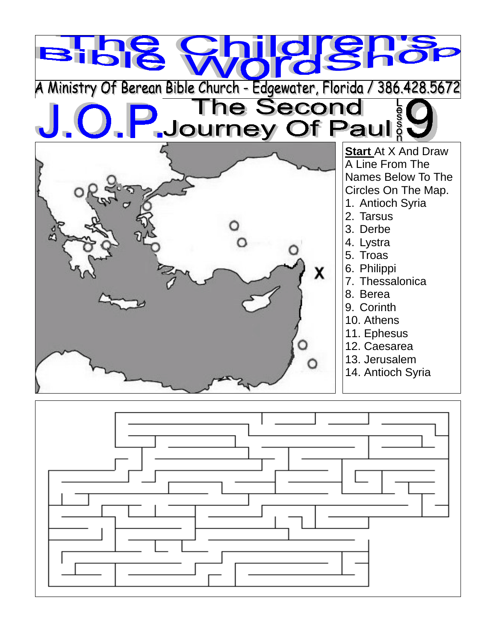

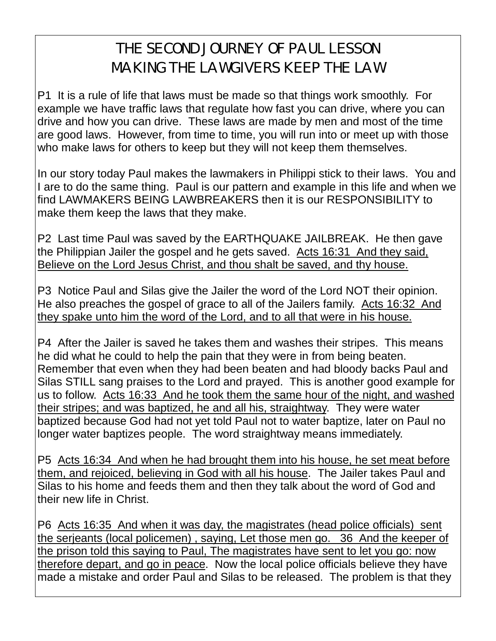## THE SECOND JOURNEY OF PAUL LESSON MAKING THE LAWGIVERS KEEP THE LAW

P1 It is a rule of life that laws must be made so that things work smoothly. For example we have traffic laws that regulate how fast you can drive, where you can drive and how you can drive. These laws are made by men and most of the time are good laws. However, from time to time, you will run into or meet up with those who make laws for others to keep but they will not keep them themselves.

In our story today Paul makes the lawmakers in Philippi stick to their laws. You and I are to do the same thing. Paul is our pattern and example in this life and when we find LAWMAKERS BEING LAWBREAKERS then it is our RESPONSIBILITY to make them keep the laws that they make.

P2 Last time Paul was saved by the EARTHQUAKE JAILBREAK. He then gave the Philippian Jailer the gospel and he gets saved. Acts 16:31 And they said, Believe on the Lord Jesus Christ, and thou shalt be saved, and thy house.

P3 Notice Paul and Silas give the Jailer the word of the Lord NOT their opinion. He also preaches the gospel of grace to all of the Jailers family. Acts 16:32 And they spake unto him the word of the Lord, and to all that were in his house.

P4 After the Jailer is saved he takes them and washes their stripes. This means he did what he could to help the pain that they were in from being beaten. Remember that even when they had been beaten and had bloody backs Paul and Silas STILL sang praises to the Lord and prayed. This is another good example for us to follow. Acts 16:33 And he took them the same hour of the night, and washed their stripes; and was baptized, he and all his, straightway. They were water baptized because God had not yet told Paul not to water baptize, later on Paul no longer water baptizes people. The word straightway means immediately.

P5 Acts 16:34 And when he had brought them into his house, he set meat before them, and rejoiced, believing in God with all his house. The Jailer takes Paul and Silas to his home and feeds them and then they talk about the word of God and their new life in Christ.

P6 Acts 16:35 And when it was day, the magistrates (head police officials) sent the serjeants (local policemen) , saying, Let those men go. 36 And the keeper of the prison told this saying to Paul, The magistrates have sent to let you go: now therefore depart, and go in peace. Now the local police officials believe they have made a mistake and order Paul and Silas to be released. The problem is that they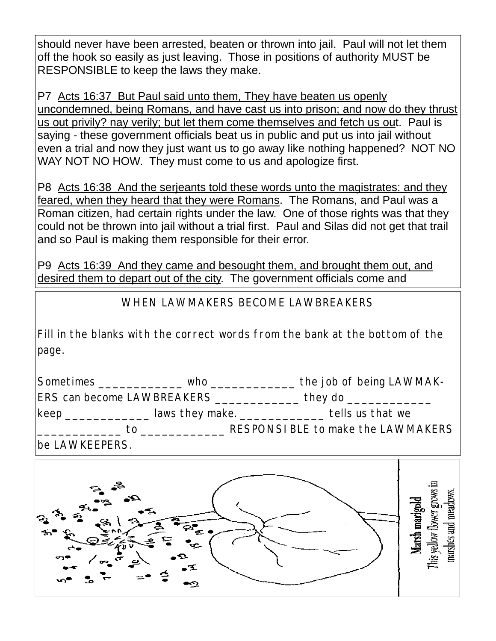should never have been arrested, beaten or thrown into jail. Paul will not let them off the hook so easily as just leaving. Those in positions of authority MUST be RESPONSIBLE to keep the laws they make.

P7 Acts 16:37 But Paul said unto them, They have beaten us openly uncondemned, being Romans, and have cast us into prison; and now do they thrust us out privily? nay verily; but let them come themselves and fetch us out. Paul is saying - these government officials beat us in public and put us into jail without even a trial and now they just want us to go away like nothing happened? NOT NO WAY NOT NO HOW. They must come to us and apologize first.

P8 Acts 16:38 And the serjeants told these words unto the magistrates: and they feared, when they heard that they were Romans. The Romans, and Paul was a Roman citizen, had certain rights under the law. One of those rights was that they could not be thrown into jail without a trial first. Paul and Silas did not get that trail and so Paul is making them responsible for their error.

P9 Acts 16:39 And they came and besought them, and brought them out, and desired them to depart out of the city. The government officials come and

WHEN LAWMAKERS BECOME LAWBREAKERS

Fill in the blanks with the correct words from the bank at the bottom of the page.

| Sometimes                                                                                                                                                                                                                                    | who                                           | the job of being LAWMAK-          |
|----------------------------------------------------------------------------------------------------------------------------------------------------------------------------------------------------------------------------------------------|-----------------------------------------------|-----------------------------------|
| <b>ERS can become LAWBREAKERS</b>                                                                                                                                                                                                            |                                               | they do $\equiv$                  |
| keep<br><u>and the state of the state of the state of the state of the state of the state of the state of the state of the state of the state of the state of the state of the state of the state of the state of the state of the state</u> | laws they make. $\frac{1}{2}$ and the matter. | tells us that we                  |
| тΩ                                                                                                                                                                                                                                           |                                               | RESPONSIBLE to make the LAWMAKERS |

be LAWKEEPERS.